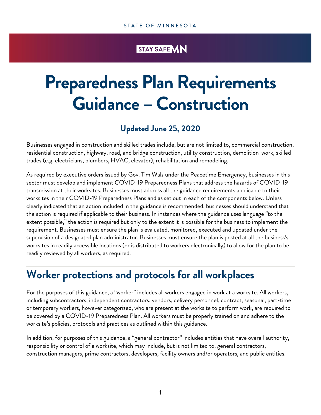# STAY SAFE VIN

# **Preparedness Plan Requirements Guidance – Construction**

# **Updated June 25, 2020**

Businesses engaged in construction and skilled trades include, but are not limited to, commercial construction, residential construction, highway, road, and bridge construction, utility construction, demolition-work, skilled trades (e.g. electricians, plumbers, HVAC, elevator), rehabilitation and remodeling.

As required by executive orders issued by Gov. Tim Walz under the Peacetime Emergency, businesses in this sector must develop and implement COVID-19 Preparedness Plans that address the hazards of COVID-19 transmission at their worksites. Businesses must address all the guidance requirements applicable to their worksites in their COVID-19 Preparedness Plans and as set out in each of the components below. Unless clearly indicated that an action included in the guidance is recommended, businesses should understand that the action is required if applicable to their business. In instances where the guidance uses language "to the extent possible," the action is required but only to the extent it is possible for the business to implement the requirement. Businesses must ensure the plan is evaluated, monitored, executed and updated under the supervision of a designated plan administrator. Businesses must ensure the plan is posted at all the business's worksites in readily accessible locations (or is distributed to workers electronically) to allow for the plan to be readily reviewed by all workers, as required.

# **Worker protections and protocols for all workplaces**

For the purposes of this guidance, a "worker" includes all workers engaged in work at a worksite. All workers, including subcontractors, independent contractors, vendors, delivery personnel, contract, seasonal, part-time or temporary workers, however categorized, who are present at the worksite to perform work, are required to be covered by a COVID-19 Preparedness Plan. All workers must be properly trained on and adhere to the worksite's policies, protocols and practices as outlined within this guidance.

In addition, for purposes of this guidance, a "general contractor" includes entities that have overall authority, responsibility or control of a worksite, which may include, but is not limited to, general contractors, construction managers, prime contractors, developers, facility owners and/or operators, and public entities.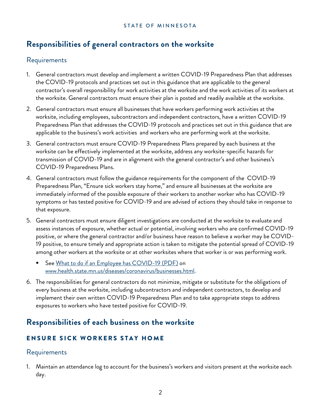# **Responsibilities of general contractors on the worksite**

## Requirements

- 1. General contractors must develop and implement a written COVID-19 Preparedness Plan that addresses the COVID-19 protocols and practices set out in this guidance that are applicable to the general contractor's overall responsibility for work activities at the worksite and the work activities of its workers at the worksite. General contractors must ensure their plan is posted and readily available at the worksite.
- 2. General contractors must ensure all businesses that have workers performing work activities at the worksite, including employees, subcontractors and independent contractors, have a written COVID-19 Preparedness Plan that addresses the COVID-19 protocols and practices set out in this guidance that are applicable to the business's work activities and workers who are performing work at the worksite.
- 3. General contractors must ensure COVID-19 Preparedness Plans prepared by each business at the worksite can be effectively implemented at the worksite, address any worksite-specific hazards for transmission of COVID-19 and are in alignment with the general contractor's and other business's COVID-19 Preparedness Plans.
- 4. General contractors must follow the guidance requirements for the component of the COVID-19 Preparedness Plan, "Ensure sick workers stay home," and ensure all businesses at the worksite are immediately informed of the possible exposure of their workers to another worker who has COVID-19 symptoms or has tested positive for COVID-19 and are advised of actions they should take in response to that exposure.
- 5. General contractors must ensure diligent investigations are conducted at the worksite to evaluate and assess instances of exposure, whether actual or potential, involving workers who are confirmed COVID-19 positive, or where the general contractor and/or business have reason to believe a worker may be COVID-19 positive, to ensure timely and appropriate action is taken to mitigate the potential spread of COVID-19 among other workers at the worksite or at other worksites where that worker is or was performing work.
	- See [What to do if an Employee has COVID-19 \(PDF\)](https://www.health.state.mn.us/diseases/coronavirus/sickemployee.pdf) on [www.health.state.mn.us/diseases/coronavirus/businesses.html.](http://www.health.state.mn.us/diseases/coronavirus/businesses.html)
- 6. The responsibilities for general contractors do not minimize, mitigate or substitute for the obligations of every business at the worksite, including subcontractors and independent contractors, to develop and implement their own written COVID-19 Preparedness Plan and to take appropriate steps to address exposures to workers who have tested positive for COVID-19.

## **Responsibilities of each business on the worksite**

## ENSURE SICK WORKERS STAY HOME

## Requirements

1. Maintain an attendance log to account for the business's workers and visitors present at the worksite each day.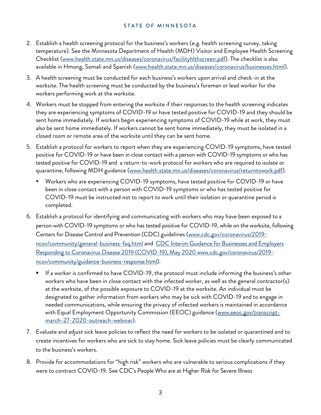- 2. Establish a health screening protocol for the business's workers (e.g. health screening survey, taking temperature). See the Minnesota Department of Health (MDH) Visitor and Employee Health Screening Checklist [\(www.health.state.mn.us/diseases/coronavirus/facilityhlthscreen.pdf\)](https://www.health.state.mn.us/diseases/coronavirus/facilityhlthscreen.pdf). The checklist is also available in Hmong, Somali and Spanish [\(www.health.state.mn.us/diseases/coronavirus/businesses.html\)](https://www.health.state.mn.us/diseases/coronavirus/businesses.html).
- 3. A health screening must be conducted for each business's workers upon arrival and check-in at the worksite. The health screening must be conducted by the business's foreman or lead worker for the workers performing work at the worksite.
- 4. Workers must be stopped from entering the worksite if their responses to the health screening indicates they are experiencing symptoms of COVID-19 or have tested positive for COVID-19 and they should be sent home immediately. If workers begin experiencing symptoms of COVID-19 while at work, they must also be sent home immediately. If workers cannot be sent home immediately, they must be isolated in a closed room or remote area of the worksite until they can be sent home.
- 5. Establish a protocol for workers to report when they are experiencing COVID-19 symptoms, have tested positive for COVID-19 or have been in close contact with a person with COVID-19 symptoms or who has tested positive for COVID-19 and a return-to-work protocol for workers who are required to isolate or quarantine, following MDH guidance [\(www.health.state.mn.us/diseases/coronavirus/returntowork.pdf\)](http://www.health.state.mn.us/diseases/coronavirus/returntowork.pdf).
	- Workers who are experiencing COVID-19 symptoms, have tested positive for COVID-19 or have been in close contact with a person with COVID-19 symptoms or who has tested positive for COVID-19 must be instructed not to report to work until their isolation or quarantine period is completed.
- 6. Establish a protocol for identifying and communicating with workers who may have been exposed to a person with COVID-19 symptoms or who has tested positive for COVID-19, while on the worksite, following Centers for Disease Control and Prevention (CDC) guidelines [\(www.cdc.gov/coronavirus/2019](http://www.cdc.gov/coronavirus/2019-ncov/community/general-business-faq.html) [ncov/community/general-business-faq.html](http://www.cdc.gov/coronavirus/2019-ncov/community/general-business-faq.html) and CDC Interim Guidance for Businesses and Employers Responding to Coronavirus Disease 2019 (COVID-19), May 2020 www.cdc.gov/coronavirus/2019 ncov/community/guidance-business-response.html).
	- $\blacksquare$  If a worker is confirmed to have COVID-19, the protocol must include informing the business's other workers who have been in close contact with the infected worker, as well as the general contractor(s) at the worksite, of the possible exposure to COVID-19 at the worksite. An individual must be designated to gather information from workers who may be sick with COVID-19 and to engage in needed communications, while ensuring the privacy of infected workers is maintained in accordance with Equal Employment Opportunity Commission (EEOC) guidance [\(www.eeoc.gov/transcript](http://www.eeoc.gov/transcript-march-27-2020-outreach-webinar)[march-27-2020-outreach-webinar\)](http://www.eeoc.gov/transcript-march-27-2020-outreach-webinar).
- 7. Evaluate and adjust sick leave policies to reflect the need for workers to be isolated or quarantined and to create incentives for workers who are sick to stay home. Sick leave policies must be clearly communicated to the business's workers.
- 8. Provide for accommodations for "high risk" workers who are vulnerable to serious complications if they were to contract COVID-19. See CDC's People Who are at Higher Risk for Severe Illness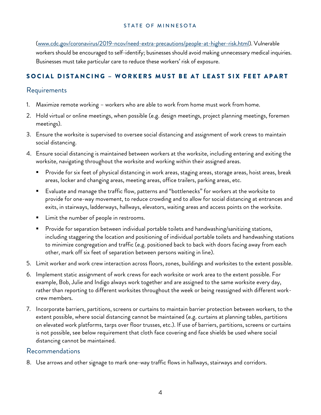[\(www.cdc.gov/coronavirus/2019-ncov/need-extra-precautions/people-at-higher-risk.html\)](http://www.cdc.gov/coronavirus/2019-ncov/need-extra-precautions/people-at-higher-risk.html). Vulnerable workers should be encouraged to self-identify; businesses should avoid making unnecessary medical inquiries. Businesses must take particular care to reduce these workers' risk of exposure.

#### S OCIAL DISTANCING – W ORKERS MUST BE AT LEAST SIX FEET APART

## Requirements

- 1. Maximize remote working workers who are able to work from home must work fromhome.
- 2. Hold virtual or online meetings, when possible (e.g. design meetings, project planning meetings, foremen meetings).
- 3. Ensure the worksite is supervised to oversee social distancing and assignment of work crews to maintain social distancing.
- 4. Ensure social distancing is maintained between workers at the worksite, including entering and exiting the worksite, navigating throughout the worksite and working within their assigned areas.
	- Provide for six feet of physical distancing in work areas, staging areas, storage areas, hoist areas, break areas, locker and changing areas, meeting areas, office trailers, parking areas, etc.
	- Evaluate and manage the traffic flow, patterns and "bottlenecks" for workers at the worksite to provide for one-way movement, to reduce crowding and to allow for social distancing at entrances and exits, in stairways, ladderways, hallways, elevators, waiting areas and access points on the worksite.
	- Limit the number of people in restrooms.
	- Provide for separation between individual portable toilets and handwashing/sanitizing stations, including staggering the location and positioning of individual portable toilets and handwashing stations to minimize congregation and traffic (e.g. positioned back to back with doors facing away from each other, mark off six feet of separation between persons waiting in line).
- 5. Limit worker and work crew interaction across floors, zones, buildings and worksites to the extent possible.
- 6. Implement static assignment of work crews for each worksite or work area to the extent possible. For example, Bob, Julie and Indigo always work together and are assigned to the same worksite every day, rather than reporting to different worksites throughout the week or being reassigned with different workcrew members.
- 7. Incorporate barriers, partitions, screens or curtains to maintain barrier protection between workers, to the extent possible, where social distancing cannot be maintained (e.g. curtains at planning tables, partitions on elevated work platforms, tarps over floor trusses, etc.). If use of barriers, partitions, screens or curtains is not possible, see below requirement that cloth face covering and face shields be used where social distancing cannot be maintained.

## Recommendations

8. Use arrows and other signage to mark one-way traffic flows in hallways, stairways and corridors.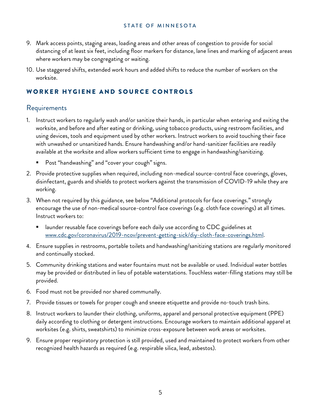- 9. Mark access points, staging areas, loading areas and other areas of congestion to provide for social distancing of at least six feet, including floor markers for distance, lane lines and marking of adjacent areas where workers may be congregating or waiting.
- 10. Use staggered shifts, extended work hours and added shifts to reduce the number of workers on the worksite.

#### WORKER HYGIENE AND SOURCE CONTROLS

## Requirements

- 1. Instruct workers to regularly wash and/or sanitize their hands, in particular when entering and exiting the worksite, and before and after eating or drinking, using tobacco products, using restroom facilities, and using devices, tools and equipment used by other workers. Instruct workers to avoid touching their face with unwashed or unsanitized hands. Ensure handwashing and/or hand-sanitizer facilities are readily available at the worksite and allow workers sufficient time to engage in handwashing/sanitizing.
	- Post "handwashing" and "cover your cough" signs.
- 2. Provide protective supplies when required, including non-medical source-control face coverings, gloves, disinfectant, guards and shields to protect workers against the transmission of COVID-19 while they are working.
- 3. When not required by this guidance, see below "Additional protocols for face coverings." strongly encourage the use of non-medical source-control face coverings (e.g. cloth face coverings) at all times. Instruct workers to:
	- launder reusable face coverings before each daily use according to CDC guidelines at [www.cdc.gov/coronavirus/2019-ncov/prevent-getting-sick/diy-cloth-face-coverings.html.](http://www.cdc.gov/coronavirus/2019-ncov/prevent-getting-sick/diy-cloth-face-coverings.html)
- 4. Ensure supplies in restrooms, portable toilets and handwashing/sanitizing stations are regularly monitored and continually stocked.
- 5. Community drinking stations and water fountains must not be available or used. Individual water bottles may be provided or distributed in lieu of potable waterstations. Touchless water-filling stations may still be provided.
- 6. Food must not be provided nor shared communally.
- 7. Provide tissues or towels for proper cough and sneeze etiquette and provide no-touch trash bins.
- 8. Instruct workers to launder their clothing, uniforms, apparel and personal protective equipment (PPE) daily according to clothing or detergent instructions. Encourage workers to maintain additional apparel at worksites (e.g. shirts, sweatshirts) to minimize cross-exposure between work areas or worksites.
- 9. Ensure proper respiratory protection is still provided, used and maintained to protect workers from other recognized health hazards as required (e.g. respirable silica, lead, asbestos).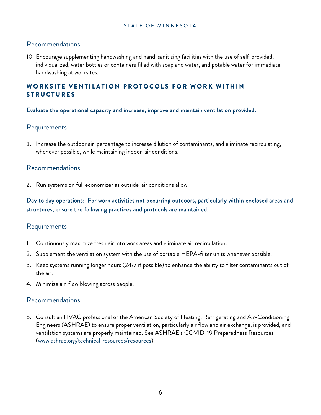#### Recommendations

10. Encourage supplementing handwashing and hand-sanitizing facilities with the use of self-provided, individualized, water bottles or containers filled with soap and water, and potable water for immediate handwashing at worksites.

#### WORKSITE VENTILATION PROTOCOLS FOR WORK WITHIN **STRUCTURES**

#### Evaluate the operational capacity and increase, improve and maintain ventilation provided.

## Requirements

1. Increase the outdoor air-percentage to increase dilution of contaminants, and eliminate recirculating, whenever possible, while maintaining indoor-air conditions.

#### Recommendations

2. Run systems on full economizer as outside-air conditions allow.

Day to day operations: For work activities not occurring outdoors, particularly within enclosed areas and structures, ensure the following practices and protocols are maintained.

## Requirements

- 1. Continuously maximize fresh air into work areas and eliminate air recirculation.
- 2. Supplement the ventilation system with the use of portable HEPA-filter units whenever possible.
- 3. Keep systems running longer hours (24/7 if possible) to enhance the ability to filter contaminants out of the air.
- 4. Minimize air-flow blowing across people.

#### Recommendations

5. Consult an HVAC professional or the American Society of Heating, Refrigerating and Air-Conditioning Engineers (ASHRAE) to ensure proper ventilation, particularly air flow and air exchange, is provided, and ventilation systems are properly maintained. See ASHRAE's COVID-19 Preparedness Resources (www.ashrae.org/technical-resources/resources).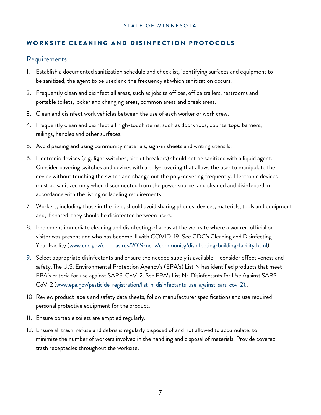#### WORKSITE CLEANING AND DISINFECTION PROTOCOLS

#### Requirements

- 1. Establish a documented sanitization schedule and checklist, identifying surfaces and equipment to be sanitized, the agent to be used and the frequency at which sanitization occurs.
- 2. Frequently clean and disinfect all areas, such as jobsite offices, office trailers, restrooms and portable toilets, locker and changing areas, common areas and break areas.
- 3. Clean and disinfect work vehicles between the use of each worker or work crew.
- 4. Frequently clean and disinfect all high-touch items, such as doorknobs, countertops, barriers, railings, handles and other surfaces.
- 5. Avoid passing and using community materials, sign-in sheets and writing utensils.
- 6. Electronic devices (e.g. light switches, circuit breakers) should not be sanitized with a liquid agent. Consider covering switches and devices with a poly-covering that allows the user to manipulate the device without touching the switch and change out the poly-covering frequently. Electronic devices must be sanitized only when disconnected from the power source, and cleaned and disinfected in accordance with the listing or labeling requirements.
- 7. Workers, including those in the field, should avoid sharing phones, devices, materials, tools and equipment and, if shared, they should be disinfected between users.
- 8. Implement immediate cleaning and disinfecting of areas at the worksite where a worker, official or visitor was present and who has become ill with COVID-19. See CDC's Cleaning and Disinfecting Your Facility [\(www.cdc.gov/coronavirus/2019-ncov/community/disinfecting-building-facility.html\)](http://www.cdc.gov/coronavirus/2019-ncov/community/disinfecting-building-facility.html).
- 9. Select appropriate disinfectants and ensure the needed supply is available consider effectiveness and safety. The U.S. Environmental Protection Agency's (EPA's) List N has identified products that meet EPA's criteria for use against SARS-CoV-2. See EPA's List N: Disinfectants for Use Against SARS-CoV-2 [\(www.epa.gov/pesticide-registration/list-n-disinfectants-use-against-sars-cov-2\)](http://www.epa.gov/pesticide-registration/list-n-disinfectants-use-against-sars-cov-2)..
- 10. Review product labels and safety data sheets, follow manufacturer specifications and use required personal protective equipment for the product.
- 11. Ensure portable toilets are emptied regularly.
- 12. Ensure all trash, refuse and debris is regularly disposed of and not allowed to accumulate, to minimize the number of workers involved in the handling and disposal of materials. Provide covered trash receptacles throughout the worksite.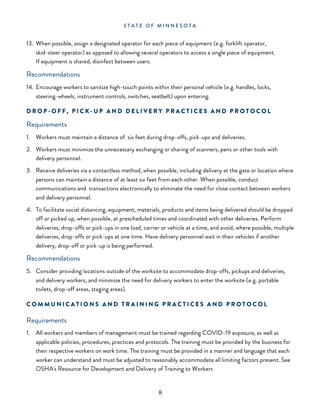13. When possible, assign a designated operator for each piece of equipment (e.g. forklift operator, skid-steer operator) as opposed to allowing several operators to access a single piece of equipment. If equipment is shared, disinfect between users.

#### Recommendations

14. Encourage workers to sanitize high-touch points within their personal vehicle (e.g. handles, locks, steering-wheels, instrument controls, switches, seatbelt) upon entering.

## DROP-OFF, PICK-UP AND DELIVERY PRACTICES AND PROTOCOL

## Requirements

- 1. Workers must maintain a distance of six feet during drop-offs, pick-ups and deliveries.
- 2. Workers must minimize the unnecessary exchanging or sharing of scanners, pens or other tools with delivery personnel.
- 3. Receive deliveries via a contactless method, when possible, including delivery at the gate or location where persons can maintain a distance of at least six feet from each other. When possible, conduct communications and transactions electronically to eliminate the need for close contact between workers and delivery personnel.
- 4. To facilitate social distancing, equipment, materials, products and items being delivered should be dropped off or picked up, when possible, at prescheduled times and coordinated with other deliveries. Perform deliveries, drop-offs or pick-ups in one load, carrier or vehicle at a time, and avoid, where possible, multiple deliveries, drop-offs or pick-ups at one time. Have delivery personnel wait in their vehicles if another delivery, drop-off or pick-up is being performed.

## Recommendations

5. Consider providing locations outside of the worksite to accommodate drop-offs, pickups and deliveries, and delivery workers, and minimize the need for delivery workers to enter the worksite (e.g. portable toilets, drop-off areas, staging areas).

## COMMUNICATIONS AND TRAINING PRACTICES AND PROTOCOL

## Requirements

1. All workers and members of management must be trained regarding COVID-19 exposure, as well as applicable policies, procedures, practices and protocols. The training must be provided by the business for their respective workers on work time. The training must be provided in a manner and language that each worker can understand and must be adjusted to reasonably accommodate all limiting factors present. See OSHA's Resource for Development and Delivery of Training to Workers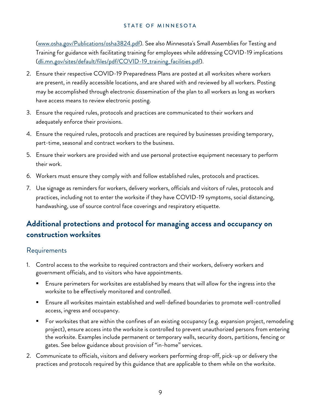[\(www.osha.gov/Publications/osha3824.pdf\)](https://www.osha.gov/Publications/osha3824.pdf). See also Minnesota's Small Assemblies for Testing and Training for guidance with facilitating training for employees while addressing COVID-19 implications [\(dli.mn.gov/sites/default/files/pdf/COVID-19\\_training\\_facilities.pdf\)](https://dli.mn.gov/sites/default/files/pdf/COVID-19_training_facilities.pdf).

- 2. Ensure their respective COVID-19 Preparedness Plans are posted at all worksites where workers are present, in readily accessible locations, and are shared with and reviewed by all workers. Posting may be accomplished through electronic dissemination of the plan to all workers as long as workers have access means to review electronic posting.
- 3. Ensure the required rules, protocols and practices are communicated to their workers and adequately enforce their provisions.
- 4. Ensure the required rules, protocols and practices are required by businesses providing temporary, part-time, seasonal and contract workers to the business.
- 5. Ensure their workers are provided with and use personal protective equipment necessary to perform their work.
- 6. Workers must ensure they comply with and follow established rules, protocols and practices.
- 7. Use signage as reminders for workers, delivery workers, officials and visitors of rules, protocols and practices, including not to enter the worksite if they have COVID-19 symptoms, social distancing, handwashing, use of source control face coverings and respiratory etiquette.

# **Additional protections and protocol for managing access and occupancy on construction worksites**

## Requirements

- 1. Control access to the worksite to required contractors and their workers, delivery workers and government officials, and to visitors who have appointments.
	- Ensure perimeters for worksites are established by means that will allow for the ingress into the worksite to be effectively monitored and controlled.
	- Ensure all worksites maintain established and well-defined boundaries to promote well-controlled access, ingress and occupancy.
	- For worksites that are within the confines of an existing occupancy (e.g. expansion project, remodeling project), ensure access into the worksite is controlled to prevent unauthorized persons from entering the worksite. Examples include permanent or temporary walls, security doors, partitions, fencing or gates. See below guidance about provision of "in-home" services.
- 2. Communicate to officials, visitors and delivery workers performing drop-off, pick-up or delivery the practices and protocols required by this guidance that are applicable to them while on the worksite.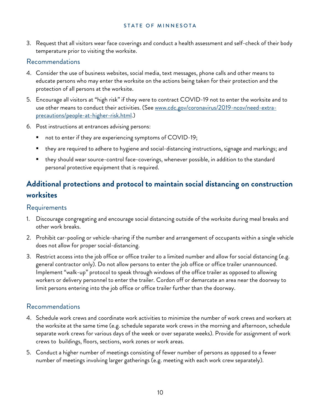3. Request that all visitors wear face coverings and conduct a health assessment and self-check of their body temperature prior to visiting the worksite.

#### Recommendations

- 4. Consider the use of business websites, social media, text messages, phone calls and other means to educate persons who may enter the worksite on the actions being taken for their protection and the protection of all persons at the worksite.
- 5. Encourage all visitors at "high risk" if they were to contract COVID-19 not to enter the worksite and to use other means to conduct their activities. (See [www.cdc.gov/coronavirus/2019-ncov/need-extra](http://www.cdc.gov/coronavirus/2019-ncov/need-extra-precautions/people-at-higher-risk.html)[precautions/people-at-higher-risk.html.](http://www.cdc.gov/coronavirus/2019-ncov/need-extra-precautions/people-at-higher-risk.html))
- 6. Post instructions at entrances advising persons:
	- not to enter if they are experiencing symptoms of COVID-19;
	- they are required to adhere to hygiene and social-distancing instructions, signage and markings; and
	- they should wear source-control face-coverings, whenever possible, in addition to the standard personal protective equipment that is required.

# **Additional protections and protocol to maintain social distancing on construction worksites**

#### Requirements

- 1. Discourage congregating and encourage social distancing outside of the worksite during meal breaks and other work breaks.
- 2. Prohibit car-pooling or vehicle-sharing if the number and arrangement of occupants within a single vehicle does not allow for proper social-distancing.
- 3. Restrict access into the job office or office trailer to a limited number and allow for social distancing (e.g. general contractor only). Do not allow persons to enter the job office or office trailer unannounced. Implement "walk-up" protocol to speak through windows of the office trailer as opposed to allowing workers or delivery personnel to enter the trailer. Cordon off or demarcate an area near the doorway to limit persons entering into the job office or office trailer further than the doorway.

## Recommendations

- 4. Schedule work crews and coordinate work activities to minimize the number of work crews and workers at the worksite at the same time (e.g. schedule separate work crews in the morning and afternoon, schedule separate work crews for various days of the week or over separate weeks). Provide for assignment of work crews to buildings, floors, sections, work zones or work areas.
- 5. Conduct a higher number of meetings consisting of fewer number of persons as opposed to a fewer number of meetings involving larger gatherings (e.g. meeting with each work crew separately).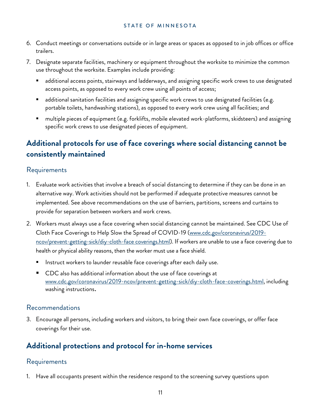- 6. Conduct meetings or conversations outside or in large areas or spaces as opposed to in job offices or office trailers.
- 7. Designate separate facilities, machinery or equipment throughout the worksite to minimize the common use throughout the worksite. Examples include providing:
	- additional access points, stairways and ladderways, and assigning specific work crews to use designated access points, as opposed to every work crew using all points of access;
	- additional sanitation facilities and assigning specific work crews to use designated facilities (e.g. portable toilets, handwashing stations), as opposed to every work crew using all facilities; and
	- multiple pieces of equipment (e.g. forklifts, mobile elevated work-platforms, skidsteers) and assigning specific work crews to use designated pieces of equipment.

# **Additional protocols for use of face coverings where social distancing cannot be consistently maintained**

## Requirements

- 1. Evaluate work activities that involve a breach of social distancing to determine if they can be done in an alternative way. Work activities should not be performed if adequate protective measures cannot be implemented. See above recommendations on the use of barriers, partitions, screens and curtains to provide for separation between workers and work crews.
- 2. Workers must always use a face covering when social distancing cannot be maintained. See CDC Use of Cloth Face Coverings to Help Slow the Spread of COVID-19 [\(www.cdc.gov/coronavirus/2019](http://www.cdc.gov/coronavirus/2019-ncov/prevent-getting-sick/diy-cloth-face%20coverings.html) [ncov/prevent-getting-sick/diy-cloth-face coverings.html\)](http://www.cdc.gov/coronavirus/2019-ncov/prevent-getting-sick/diy-cloth-face%20coverings.html). If workers are unable to use a face covering due to health or physical ability reasons, then the worker must use a face shield.
	- Instruct workers to launder reusable face coverings after each daily use.
	- **CDC** also has additional information about the use of face coverings at [www.cdc.gov/coronavirus/2019-ncov/prevent-getting-sick/diy-cloth-face-coverings.html,](https://www.cdc.gov/coronavirus/2019-ncov/prevent-getting-sick/diy-cloth-face-coverings.html) including washing instructions.

## Recommendations

3. Encourage all persons, including workers and visitors, to bring their own face coverings, or offer face coverings for their use.

# **Additional protections and protocol for in-home services**

## Requirements

1. Have all occupants present within the residence respond to the screening survey questions upon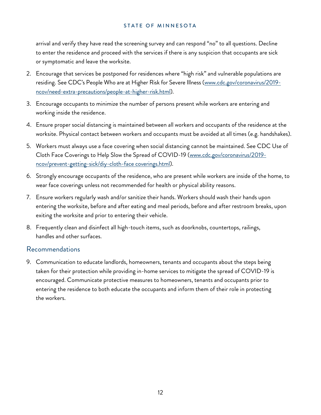arrival and verify they have read the screening survey and can respond "no" to all questions. Decline to enter the residence and proceed with the services if there is any suspicion that occupants are sick or symptomatic and leave the worksite.

- 2. Encourage that services be postponed for residences where "high risk" and vulnerable populations are residing. See CDC's People Who are at Higher Risk for Severe Illness [\(www.cdc.gov/coronavirus/2019](http://www.cdc.gov/coronavirus/2019-ncov/need-extra-precautions/people-at-higher-risk.html) [ncov/need-extra-precautions/people-at-higher-risk.html\)](http://www.cdc.gov/coronavirus/2019-ncov/need-extra-precautions/people-at-higher-risk.html).
- 3. Encourage occupants to minimize the number of persons present while workers are entering and working inside the residence.
- 4. Ensure proper social distancing is maintained between all workers and occupants of the residence at the worksite. Physical contact between workers and occupants must be avoided at all times (e.g. handshakes).
- 5. Workers must always use a face covering when social distancing cannot be maintained. See CDC Use of Cloth Face Coverings to Help Slow the Spread of COVID-19 [\(www.cdc.gov/coronavirus/2019](http://www.cdc.gov/coronavirus/2019-ncov/prevent-getting-sick/diy-cloth-face%20coverings.html) [ncov/prevent-getting-sick/diy-cloth-face coverings.html\)](http://www.cdc.gov/coronavirus/2019-ncov/prevent-getting-sick/diy-cloth-face%20coverings.html).
- 6. Strongly encourage occupants of the residence, who are present while workers are inside of the home, to wear face coverings unless not recommended for health or physical ability reasons.
- 7. Ensure workers regularly wash and/or sanitize their hands. Workers should wash their hands upon entering the worksite, before and after eating and meal periods, before and after restroom breaks, upon exiting the worksite and prior to entering their vehicle.
- 8. Frequently clean and disinfect all high-touch items, such as doorknobs, countertops, railings, handles and other surfaces.

## Recommendations

9. Communication to educate landlords, homeowners, tenants and occupants about the steps being taken for their protection while providing in-home services to mitigate the spread of COVID-19 is encouraged. Communicate protective measures to homeowners, tenants and occupants prior to entering the residence to both educate the occupants and inform them of their role in protecting the workers.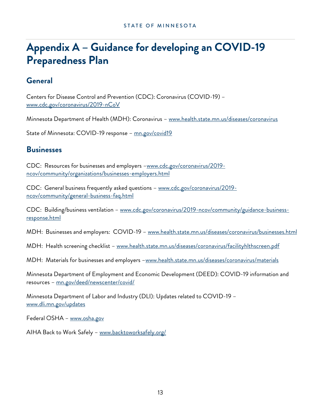# **Appendix A – Guidance for developing an COVID-19 Preparedness Plan**

## **General**

Centers for Disease Control and Prevention (CDC): Coronavirus (COVID-19) – [www.cdc.gov/coronavirus/2019-nCoV](http://www.cdc.gov/coronavirus/2019-nCoV)

Minnesota Department of Health (MDH): Coronavirus – [www.health.state.mn.us/diseases/coronavirus](http://www.health.state.mn.us/diseases/coronavirus) 

State of Minnesota: COVID-19 response - mn.gov/covid19

## **Businesses**

CDC: Resources for businesses and employers -www.cdc.gov/coronavirus/2019[ncov/community/organizations/businesses-employers.html](http://www.cdc.gov/coronavirus/2019-ncov/community/organizations/businesses-employers.html) 

CDC: General business frequently asked questions – [www.cdc.gov/coronavirus/2019](http://www.cdc.gov/coronavirus/2019-ncov/community/general-business-faq.html) [ncov/community/general-business-faq.html](http://www.cdc.gov/coronavirus/2019-ncov/community/general-business-faq.html)

CDC: Building/business ventilation – [www.cdc.gov/coronavirus/2019-ncov/community/guidance-business](http://www.cdc.gov/coronavirus/2019-ncov/community/guidance-business-response.html)[response.html](http://www.cdc.gov/coronavirus/2019-ncov/community/guidance-business-response.html)

MDH: Businesses and employers: COVID-19 – [www.health.state.mn.us/diseases/coronavirus/businesses.html](http://www.health.state.mn.us/diseases/coronavirus/businesses.html)

MDH: Health screening checklist – [www.health.state.mn.us/diseases/coronavirus/facilityhlthscreen.pdf](http://www.health.state.mn.us/diseases/coronavirus/facilityhlthscreen.pdf)

MDH: Materials for businesses and employers -www.health.state.mn.us/diseases/coronavirus/materials

Minnesota Department of Employment and Economic Development (DEED): COVID-19 information and resources – [mn.gov/deed/newscenter/covid/](https://mn.gov/deed/newscenter/covid/)

Minnesota Department of Labor and Industry (DLI): Updates related to COVID-19 – [www.dli.mn.gov/updates](http://www.dli.mn.gov/updates)

Federal OSHA – [www.osha.gov](http://www.osha.gov/)

AIHA Back to Work Safely - [www.backtoworksafely.org/](http://www.backtoworksafely.org/)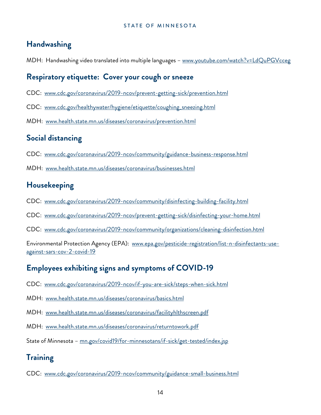# **Handwashing**

MDH: Handwashing video translated into multiple languages - www.youtube.com/watch?v=LdQuPGVcceg

## **Respiratory etiquette: Cover your cough or sneeze**

- CDC: [www.cdc.gov/coronavirus/2019-ncov/prevent-getting-sick/prevention.html](http://www.cdc.gov/coronavirus/2019-ncov/prevent-getting-sick/prevention.html)
- CDC: [www.cdc.gov/healthywater/hygiene/etiquette/coughing\\_sneezing.html](http://www.cdc.gov/healthywater/hygiene/etiquette/coughing_sneezing.html)
- MDH: [www.health.state.mn.us/diseases/coronavirus/prevention.html](http://www.health.state.mn.us/diseases/coronavirus/prevention.html)

# **Social distancing**

- CDC: [www.cdc.gov/coronavirus/2019-ncov/community/guidance-business-response.html](http://www.cdc.gov/coronavirus/2019-ncov/community/guidance-business-response.html)
- MDH: [www.health.state.mn.us/diseases/coronavirus/businesses.html](http://www.health.state.mn.us/diseases/coronavirus/businesses.html)

# **Housekeeping**

- CDC: [www.cdc.gov/coronavirus/2019-ncov/community/disinfecting-building-facility.html](http://www.cdc.gov/coronavirus/2019-ncov/community/disinfecting-building-facility.html)
- CDC: [www.cdc.gov/coronavirus/2019-ncov/prevent-getting-sick/disinfecting-your-home.html](http://www.cdc.gov/coronavirus/2019-ncov/prevent-getting-sick/disinfecting-your-home.html)
- CDC: [www.cdc.gov/coronavirus/2019-ncov/community/organizations/cleaning-disinfection.html](http://www.cdc.gov/coronavirus/2019-ncov/community/organizations/cleaning-disinfection.html)

Environmental Protection Agency (EPA): [www.epa.gov/pesticide-registration/list-n-disinfectants-use](https://www.epa.gov/pesticide-registration/list-n-disinfectants-use-against-sars-cov-2-covid-19)[against-sars-cov-2-covid-19](https://www.epa.gov/pesticide-registration/list-n-disinfectants-use-against-sars-cov-2-covid-19)

# **Employees exhibiting signs and symptoms of COVID-19**

- CDC: [www.cdc.gov/coronavirus/2019-ncov/if-you-are-sick/steps-when-sick.html](http://www.cdc.gov/coronavirus/2019-ncov/if-you-are-sick/steps-when-sick.html)
- MDH: [www.health.state.mn.us/diseases/coronavirus/basics.html](http://www.health.state.mn.us/diseases/coronavirus/basics.html)
- MDH: [www.health.state.mn.us/diseases/coronavirus/facilityhlthscreen.pdf](http://www.health.state.mn.us/diseases/coronavirus/facilityhlthscreen.pdf)
- MDH: [www.health.state.mn.us/diseases/coronavirus/returntowork.pdf](http://www.health.state.mn.us/diseases/coronavirus/returntowork.pdf)
- State of Minnesota - [mn.gov/covid19/for-minnesotans/if-sick/get-tested/index.jsp](https://mn.gov/covid19/for-minnesotans/if-sick/get-tested/index.jsp)

# **Training**

CDC: [www.cdc.gov/coronavirus/2019-ncov/community/guidance-small-business.html](http://www.cdc.gov/coronavirus/2019-ncov/community/guidance-small-business.html)